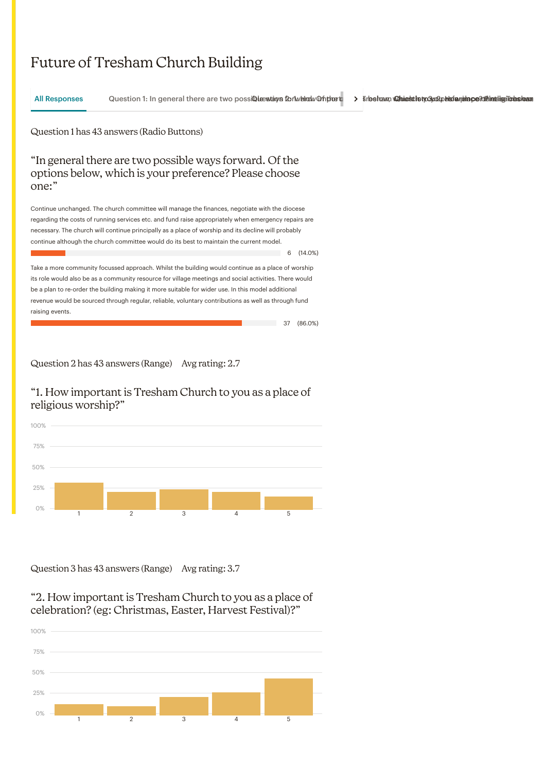# Future of Tresham Church Building

Question 1 has 43 answers (Radio Buttons) "In general there are two possible ways forward. Of the options below, which is your preference? Please choose one:" Continue unchanged. The church committee will manage the finances, negotiate with the diocese regarding the costs of running services etc. and fund raise appropriately when emergency repairs are necessary. The church will continue principally as a place of worship and its decline will probably continue although the church committee would do its best to maintain the current model.  $6 \quad (14.0\%)$ Take a more community focussed approach. Whilst the building would continue as a place of worship its role would also be as a community resource for village meetings and social activities. There would be a plan to re-order the building making it more suitable for wider use. In this model additional revenue would be sourced through regular, reliable, voluntary contributions as well as through fund raising events. 37 (86.0%) All Responses Question 1: In general there are two possiQibue wataing f2o: 1w. Harodw. On the two possiQieeshionthiostny of The Tsrbeham, Wanniesthiotyosyu: Despite the Counterport Palandreetalisty of The Strbeham, Wannies

Question 2 has 43 answers (Range) Avg rating: 2.7

### "1. How important is Tresham Church to you as a place of religious worship?"



Question 3 has 43 answers (Range) Avg rating: 3.7

#### "2. How important is Tresham Church to you as a place of celebration? (eg: Christmas, Easter, Harvest Festival)?"

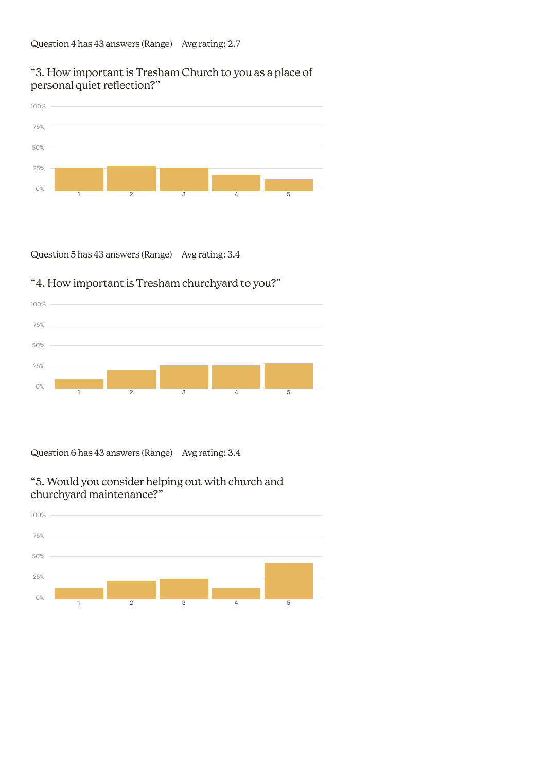## "3. How important is Tresham Church to you as a place of personal quiet reflection?"



Question 5 has 43 answers (Range) Avg rating: 3.4

## "4. How important is Tresham churchyard to you?"



Question 6 has 43 answers (Range) Avg rating: 3.4

## "5. Would you consider helping out with church and churchyard maintenance?"

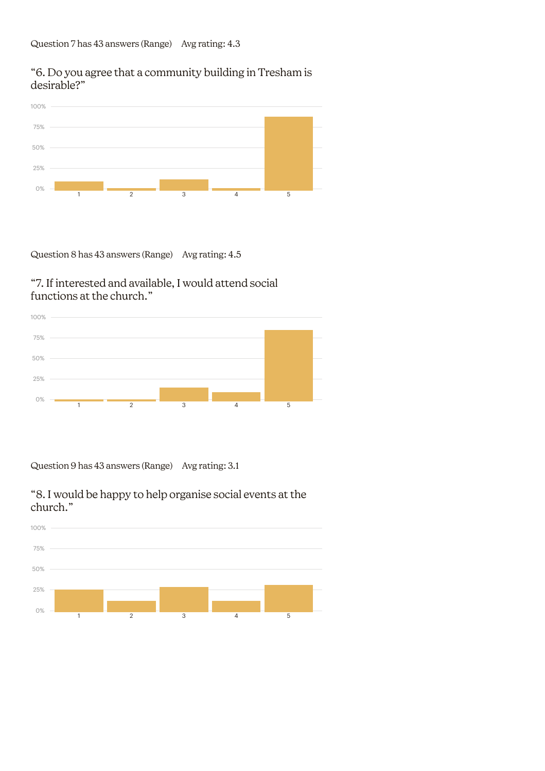## "6. Do you agree that a community building in Tresham is desirable?"



Question 8 has 43 answers (Range) Avg rating: 4.5

## "7. If interested and available, I would attend social functions at the church."



Question 9 has 43 answers (Range) Avg rating: 3.1



"8. I would be happy to help organise social events at the church."